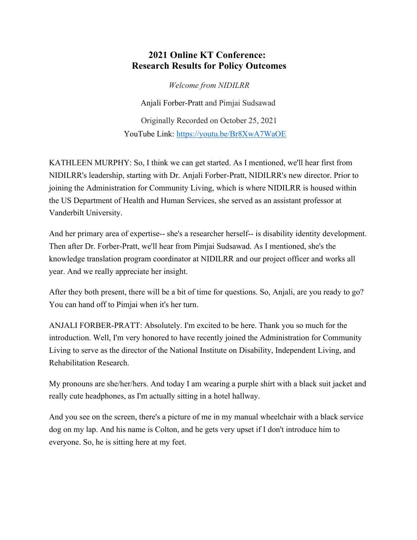## **2021 Online KT Conference: Research Results for Policy Outcomes**

*Welcome from NIDILRR* 

Anjali Forber-Pratt and Pimjai Sudsawad

Originally Recorded on October 25, 2021 YouTube Link: <https://youtu.be/Br8XwA7WaOE>

KATHLEEN MURPHY: So, I think we can get started. As I mentioned, we'll hear first from NIDILRR's leadership, starting with Dr. Anjali Forber-Pratt, NIDILRR's new director. Prior to joining the Administration for Community Living, which is where NIDILRR is housed within the US Department of Health and Human Services, she served as an assistant professor at Vanderbilt University.

And her primary area of expertise-- she's a researcher herself-- is disability identity development. Then after Dr. Forber-Pratt, we'll hear from Pimjai Sudsawad. As I mentioned, she's the knowledge translation program coordinator at NIDILRR and our project officer and works all year. And we really appreciate her insight.

After they both present, there will be a bit of time for questions. So, Anjali, are you ready to go? You can hand off to Pimjai when it's her turn.

ANJALI FORBER-PRATT: Absolutely. I'm excited to be here. Thank you so much for the introduction. Well, I'm very honored to have recently joined the Administration for Community Living to serve as the director of the National Institute on Disability, Independent Living, and Rehabilitation Research.

My pronouns are she/her/hers. And today I am wearing a purple shirt with a black suit jacket and really cute headphones, as I'm actually sitting in a hotel hallway.

And you see on the screen, there's a picture of me in my manual wheelchair with a black service dog on my lap. And his name is Colton, and he gets very upset if I don't introduce him to everyone. So, he is sitting here at my feet.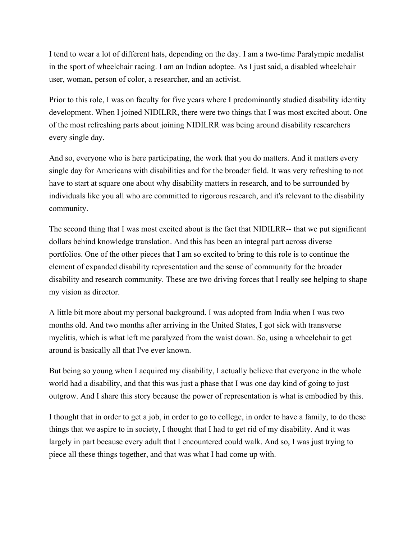I tend to wear a lot of different hats, depending on the day. I am a two-time Paralympic medalist in the sport of wheelchair racing. I am an Indian adoptee. As I just said, a disabled wheelchair user, woman, person of color, a researcher, and an activist.

Prior to this role, I was on faculty for five years where I predominantly studied disability identity development. When I joined NIDILRR, there were two things that I was most excited about. One of the most refreshing parts about joining NIDILRR was being around disability researchers every single day.

And so, everyone who is here participating, the work that you do matters. And it matters every single day for Americans with disabilities and for the broader field. It was very refreshing to not have to start at square one about why disability matters in research, and to be surrounded by individuals like you all who are committed to rigorous research, and it's relevant to the disability community.

The second thing that I was most excited about is the fact that NIDILRR-- that we put significant dollars behind knowledge translation. And this has been an integral part across diverse portfolios. One of the other pieces that I am so excited to bring to this role is to continue the element of expanded disability representation and the sense of community for the broader disability and research community. These are two driving forces that I really see helping to shape my vision as director.

A little bit more about my personal background. I was adopted from India when I was two months old. And two months after arriving in the United States, I got sick with transverse myelitis, which is what left me paralyzed from the waist down. So, using a wheelchair to get around is basically all that I've ever known.

But being so young when I acquired my disability, I actually believe that everyone in the whole world had a disability, and that this was just a phase that I was one day kind of going to just outgrow. And I share this story because the power of representation is what is embodied by this.

I thought that in order to get a job, in order to go to college, in order to have a family, to do these things that we aspire to in society, I thought that I had to get rid of my disability. And it was largely in part because every adult that I encountered could walk. And so, I was just trying to piece all these things together, and that was what I had come up with.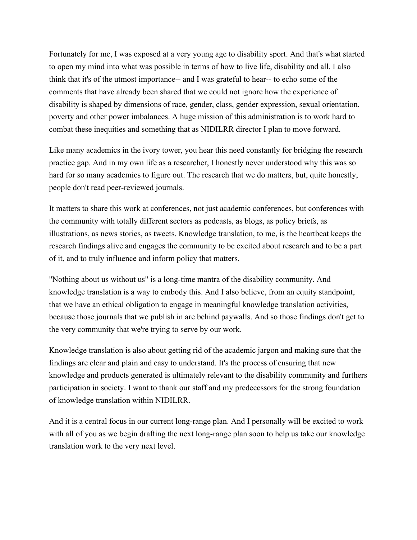Fortunately for me, I was exposed at a very young age to disability sport. And that's what started to open my mind into what was possible in terms of how to live life, disability and all. I also think that it's of the utmost importance-- and I was grateful to hear-- to echo some of the comments that have already been shared that we could not ignore how the experience of disability is shaped by dimensions of race, gender, class, gender expression, sexual orientation, poverty and other power imbalances. A huge mission of this administration is to work hard to combat these inequities and something that as NIDILRR director I plan to move forward.

Like many academics in the ivory tower, you hear this need constantly for bridging the research practice gap. And in my own life as a researcher, I honestly never understood why this was so hard for so many academics to figure out. The research that we do matters, but, quite honestly, people don't read peer-reviewed journals.

It matters to share this work at conferences, not just academic conferences, but conferences with the community with totally different sectors as podcasts, as blogs, as policy briefs, as illustrations, as news stories, as tweets. Knowledge translation, to me, is the heartbeat keeps the research findings alive and engages the community to be excited about research and to be a part of it, and to truly influence and inform policy that matters.

"Nothing about us without us" is a long-time mantra of the disability community. And knowledge translation is a way to embody this. And I also believe, from an equity standpoint, that we have an ethical obligation to engage in meaningful knowledge translation activities, because those journals that we publish in are behind paywalls. And so those findings don't get to the very community that we're trying to serve by our work.

Knowledge translation is also about getting rid of the academic jargon and making sure that the findings are clear and plain and easy to understand. It's the process of ensuring that new knowledge and products generated is ultimately relevant to the disability community and furthers participation in society. I want to thank our staff and my predecessors for the strong foundation of knowledge translation within NIDILRR.

And it is a central focus in our current long-range plan. And I personally will be excited to work with all of you as we begin drafting the next long-range plan soon to help us take our knowledge translation work to the very next level.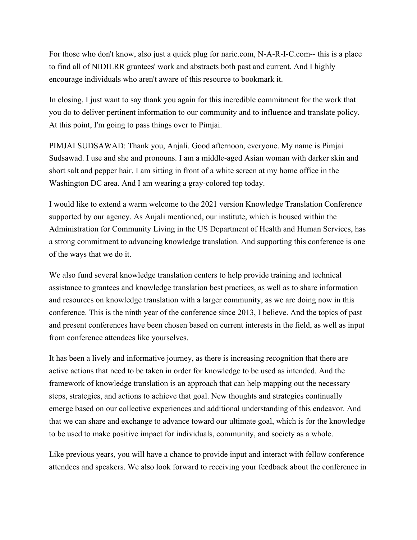For those who don't know, also just a quick plug for naric.com, N-A-R-I-C.com-- this is a place to find all of NIDILRR grantees' work and abstracts both past and current. And I highly encourage individuals who aren't aware of this resource to bookmark it.

In closing, I just want to say thank you again for this incredible commitment for the work that you do to deliver pertinent information to our community and to influence and translate policy. At this point, I'm going to pass things over to Pimjai.

PIMJAI SUDSAWAD: Thank you, Anjali. Good afternoon, everyone. My name is Pimjai Sudsawad. I use and she and pronouns. I am a middle-aged Asian woman with darker skin and short salt and pepper hair. I am sitting in front of a white screen at my home office in the Washington DC area. And I am wearing a gray-colored top today.

I would like to extend a warm welcome to the 2021 version Knowledge Translation Conference supported by our agency. As Anjali mentioned, our institute, which is housed within the Administration for Community Living in the US Department of Health and Human Services, has a strong commitment to advancing knowledge translation. And supporting this conference is one of the ways that we do it.

We also fund several knowledge translation centers to help provide training and technical assistance to grantees and knowledge translation best practices, as well as to share information and resources on knowledge translation with a larger community, as we are doing now in this conference. This is the ninth year of the conference since 2013, I believe. And the topics of past and present conferences have been chosen based on current interests in the field, as well as input from conference attendees like yourselves.

It has been a lively and informative journey, as there is increasing recognition that there are active actions that need to be taken in order for knowledge to be used as intended. And the framework of knowledge translation is an approach that can help mapping out the necessary steps, strategies, and actions to achieve that goal. New thoughts and strategies continually emerge based on our collective experiences and additional understanding of this endeavor. And that we can share and exchange to advance toward our ultimate goal, which is for the knowledge to be used to make positive impact for individuals, community, and society as a whole.

Like previous years, you will have a chance to provide input and interact with fellow conference attendees and speakers. We also look forward to receiving your feedback about the conference in